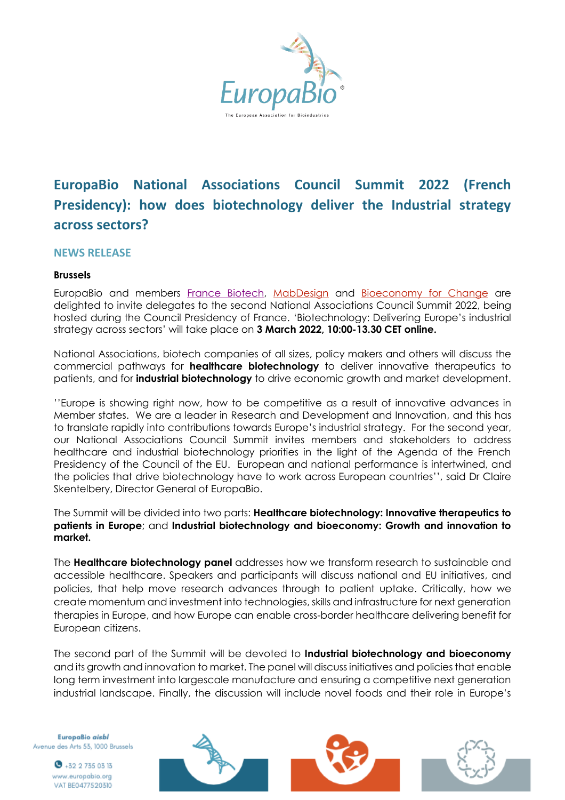

# **EuropaBio National Associations Council Summit 2022 (French Presidency): how does biotechnology deliver the Industrial strategy across sectors?**

## **NEWS RELEASE**

## **Brussels**

EuropaBio and members [France Biotech,](http://www.france-biotech.fr/) [MabDesign](https://www.mabdesign.fr/en/) and [Bioeconomy for Change](https://www.iar-pole.com/) are delighted to invite delegates to the second National Associations Council Summit 2022, being hosted during the Council Presidency of France. 'Biotechnology: Delivering Europe's industrial strategy across sectors' will take place on **3 March 2022, 10:00-13.30 CET online.**

National Associations, biotech companies of all sizes, policy makers and others will discuss the commercial pathways for **healthcare biotechnology** to deliver innovative therapeutics to patients, and for **industrial biotechnology** to drive economic growth and market development.

''Europe is showing right now, how to be competitive as a result of innovative advances in Member states. We are a leader in Research and Development and Innovation, and this has to translate rapidly into contributions towards Europe's industrial strategy. For the second year, our National Associations Council Summit invites members and stakeholders to address healthcare and industrial biotechnology priorities in the light of the Agenda of the French Presidency of the Council of the EU. European and national performance is intertwined, and the policies that drive biotechnology have to work across European countries'', said Dr Claire Skentelbery, Director General of EuropaBio.

The Summit will be divided into two parts: **Healthcare biotechnology: Innovative therapeutics to patients in Europe**; and **Industrial biotechnology and bioeconomy: Growth and innovation to market.**

The **Healthcare biotechnology panel** addresses how we transform research to sustainable and accessible healthcare. Speakers and participants will discuss national and EU initiatives, and policies, that help move research advances through to patient uptake. Critically, how we create momentum and investment into technologies, skills and infrastructure for next generation therapies in Europe, and how Europe can enable cross-border healthcare delivering benefit for European citizens.

The second part of the Summit will be devoted to **Industrial biotechnology and bioeconomy** and its growth and innovation to market. The panel will discuss initiatives and policies that enable long term investment into largescale manufacture and ensuring a competitive next generation industrial landscape. Finally, the discussion will include novel foods and their role in Europe's

EuropaBio aisbl Avenue des Arts 53, 1000 Brussels

> $\bullet$  +32 2 735 03 13 www.europabio.org VAT BE0477520310